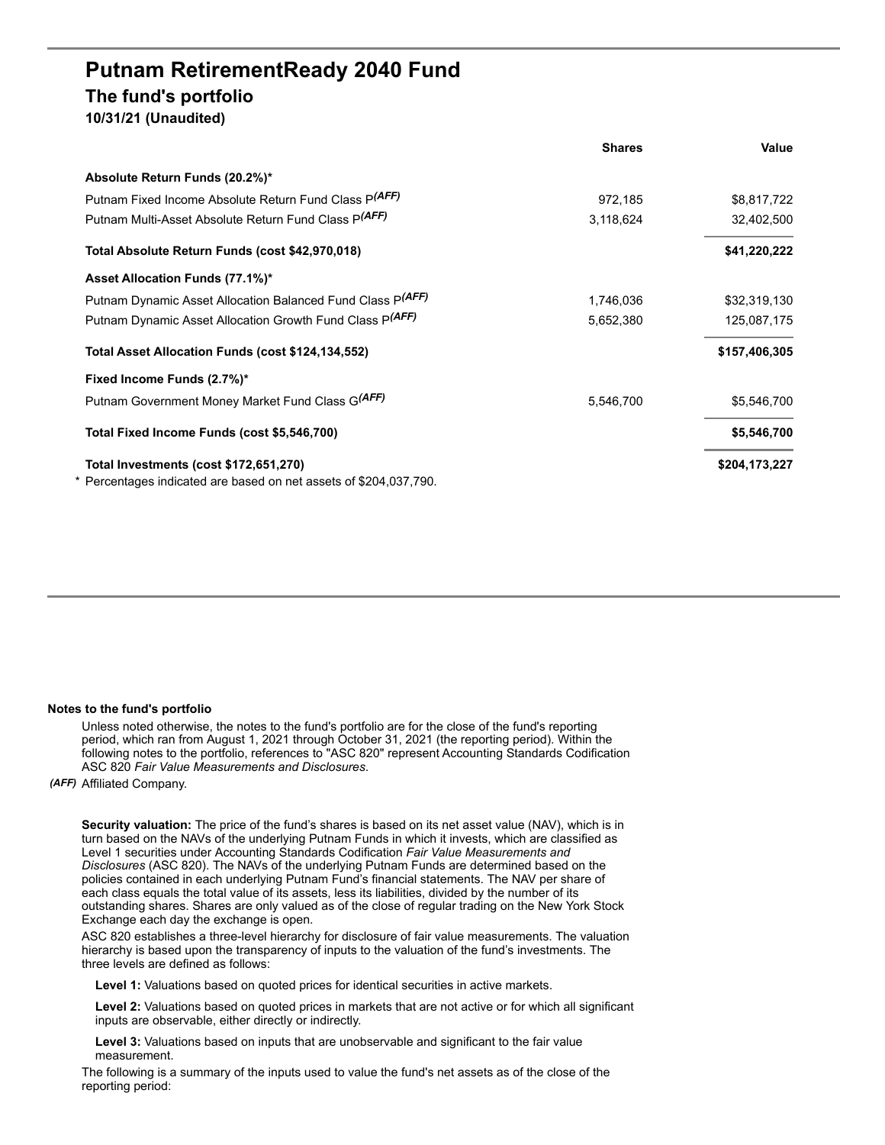## **Putnam RetirementReady 2040 Fund The fund's portfolio 10/31/21 (Unaudited)**

| Absolute Return Funds (20.2%)*                                    |                           |
|-------------------------------------------------------------------|---------------------------|
| Putnam Fixed Income Absolute Return Fund Class P(AFF)             | 972.185<br>\$8,817,722    |
| Putnam Multi-Asset Absolute Return Fund Class P(AFF)              | 3,118,624<br>32,402,500   |
| Total Absolute Return Funds (cost \$42,970,018)                   | \$41,220,222              |
| Asset Allocation Funds (77.1%)*                                   |                           |
| Putnam Dynamic Asset Allocation Balanced Fund Class P(AFF)        | 1,746,036<br>\$32,319,130 |
| Putnam Dynamic Asset Allocation Growth Fund Class P(AFF)          | 5,652,380<br>125,087,175  |
| Total Asset Allocation Funds (cost \$124,134,552)                 | \$157,406,305             |
| Fixed Income Funds (2.7%)*                                        |                           |
| Putnam Government Money Market Fund Class G(AFF)                  | 5,546,700<br>\$5,546,700  |
| Total Fixed Income Funds (cost \$5,546,700)                       | \$5,546,700               |
| Total Investments (cost \$172,651,270)                            | \$204,173,227             |
| * Percentages indicated are based on net assets of \$204,037,790. |                           |

**Shares Value**

## **Notes to the fund's portfolio**

Unless noted otherwise, the notes to the fund's portfolio are for the close of the fund's reporting period, which ran from August 1, 2021 through October 31, 2021 (the reporting period). Within the following notes to the portfolio, references to "ASC 820" represent Accounting Standards Codification ASC 820 *Fair Value Measurements and Disclosures*.

*(AFF)* Affiliated Company.

**Security valuation:** The price of the fund's shares is based on its net asset value (NAV), which is in turn based on the NAVs of the underlying Putnam Funds in which it invests, which are classified as Level 1 securities under Accounting Standards Codification *Fair Value Measurements and Disclosures* (ASC 820). The NAVs of the underlying Putnam Funds are determined based on the policies contained in each underlying Putnam Fund's financial statements. The NAV per share of each class equals the total value of its assets, less its liabilities, divided by the number of its outstanding shares. Shares are only valued as of the close of regular trading on the New York Stock Exchange each day the exchange is open.

ASC 820 establishes a three-level hierarchy for disclosure of fair value measurements. The valuation hierarchy is based upon the transparency of inputs to the valuation of the fund's investments. The three levels are defined as follows:

**Level 1:** Valuations based on quoted prices for identical securities in active markets.

**Level 2:** Valuations based on quoted prices in markets that are not active or for which all significant inputs are observable, either directly or indirectly.

**Level 3:** Valuations based on inputs that are unobservable and significant to the fair value measurement.

The following is a summary of the inputs used to value the fund's net assets as of the close of the reporting period: